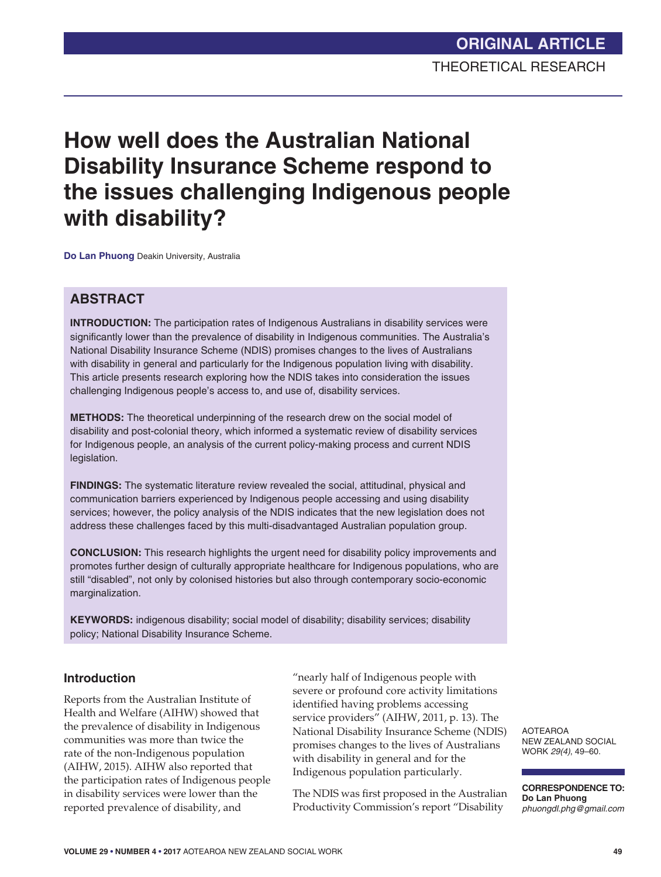# **How well does the Australian National Disability Insurance Scheme respond to the issues challenging Indigenous people with disability?**

**Do Lan Phuong** Deakin University, Australia

### **ABSTRACT**

**INTRODUCTION:** The participation rates of Indigenous Australians in disability services were significantly lower than the prevalence of disability in Indigenous communities. The Australia's National Disability Insurance Scheme (NDIS) promises changes to the lives of Australians with disability in general and particularly for the Indigenous population living with disability. This article presents research exploring how the NDIS takes into consideration the issues challenging Indigenous people's access to, and use of, disability services.

**METHODS:** The theoretical underpinning of the research drew on the social model of disability and post-colonial theory, which informed a systematic review of disability services for Indigenous people, an analysis of the current policy-making process and current NDIS legislation.

**FINDINGS:** The systematic literature review revealed the social, attitudinal, physical and communication barriers experienced by Indigenous people accessing and using disability services; however, the policy analysis of the NDIS indicates that the new legislation does not address these challenges faced by this multi-disadvantaged Australian population group.

**CONCLUSION:** This research highlights the urgent need for disability policy improvements and promotes further design of culturally appropriate healthcare for Indigenous populations, who are still "disabled", not only by colonised histories but also through contemporary socio-economic marginalization.

**KEYWORDS:** indigenous disability; social model of disability; disability services; disability policy; National Disability Insurance Scheme.

### **Introduction**

Reports from the Australian Institute of Health and Welfare (AIHW) showed that the prevalence of disability in Indigenous communities was more than twice the rate of the non-Indigenous population (AIHW, 2015). AIHW also reported that the participation rates of Indigenous people in disability services were lower than the reported prevalence of disability, and

"nearly half of Indigenous people with severe or profound core activity limitations identified having problems accessing service providers" (AIHW, 2011, p. 13). The National Disability Insurance Scheme (NDIS) promises changes to the lives of Australians with disability in general and for the Indigenous population particularly.

The NDIS was first proposed in the Australian Productivity Commission's report "Disability

AOTEAROA NEW ZEALAND SOCIAL WORK *29(4)*, 49–60.

**CORRESPONDENCE TO: Do Lan Phuong** *phuongdl.phg@gmail.com*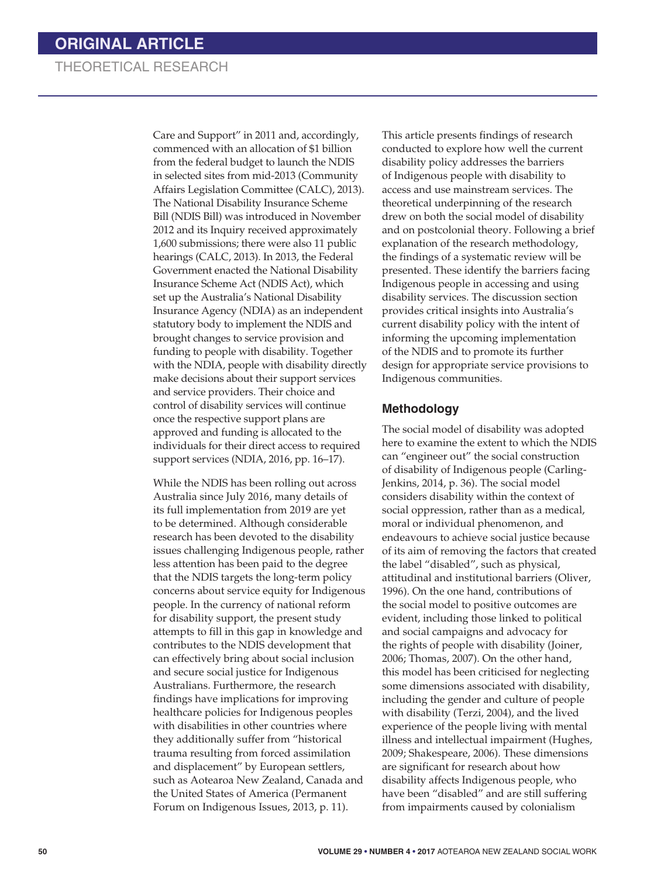Care and Support" in 2011 and, accordingly, commenced with an allocation of \$1 billion from the federal budget to launch the NDIS in selected sites from mid-2013 (Community Affairs Legislation Committee (CALC), 2013). The National Disability Insurance Scheme Bill (NDIS Bill) was introduced in November 2012 and its Inquiry received approximately 1,600 submissions; there were also 11 public hearings (CALC, 2013). In 2013, the Federal Government enacted the National Disability Insurance Scheme Act (NDIS Act), which set up the Australia's National Disability Insurance Agency (NDIA) as an independent statutory body to implement the NDIS and brought changes to service provision and funding to people with disability. Together with the NDIA, people with disability directly make decisions about their support services and service providers. Their choice and control of disability services will continue once the respective support plans are approved and funding is allocated to the individuals for their direct access to required support services (NDIA, 2016, pp. 16–17).

While the NDIS has been rolling out across Australia since July 2016, many details of its full implementation from 2019 are yet to be determined. Although considerable research has been devoted to the disability issues challenging Indigenous people, rather less attention has been paid to the degree that the NDIS targets the long-term policy concerns about service equity for Indigenous people. In the currency of national reform for disability support, the present study attempts to fill in this gap in knowledge and contributes to the NDIS development that can effectively bring about social inclusion and secure social justice for Indigenous Australians. Furthermore, the research findings have implications for improving healthcare policies for Indigenous peoples with disabilities in other countries where they additionally suffer from "historical trauma resulting from forced assimilation and displacement" by European settlers, such as Aotearoa New Zealand, Canada and the United States of America (Permanent Forum on Indigenous Issues, 2013, p. 11).

This article presents findings of research conducted to explore how well the current disability policy addresses the barriers of Indigenous people with disability to access and use mainstream services. The theoretical underpinning of the research drew on both the social model of disability and on postcolonial theory. Following a brief explanation of the research methodology, the findings of a systematic review will be presented. These identify the barriers facing Indigenous people in accessing and using disability services. The discussion section provides critical insights into Australia's current disability policy with the intent of informing the upcoming implementation of the NDIS and to promote its further design for appropriate service provisions to Indigenous communities.

### **Methodology**

The social model of disability was adopted here to examine the extent to which the NDIS can "engineer out" the social construction of disability of Indigenous people (Carling-Jenkins, 2014, p. 36). The social model considers disability within the context of social oppression, rather than as a medical, moral or individual phenomenon, and endeavours to achieve social justice because of its aim of removing the factors that created the label "disabled", such as physical, attitudinal and institutional barriers (Oliver, 1996). On the one hand, contributions of the social model to positive outcomes are evident, including those linked to political and social campaigns and advocacy for the rights of people with disability (Joiner, 2006; Thomas, 2007). On the other hand, this model has been criticised for neglecting some dimensions associated with disability, including the gender and culture of people with disability (Terzi, 2004), and the lived experience of the people living with mental illness and intellectual impairment (Hughes, 2009; Shakespeare, 2006). These dimensions are significant for research about how disability affects Indigenous people, who have been "disabled" and are still suffering from impairments caused by colonialism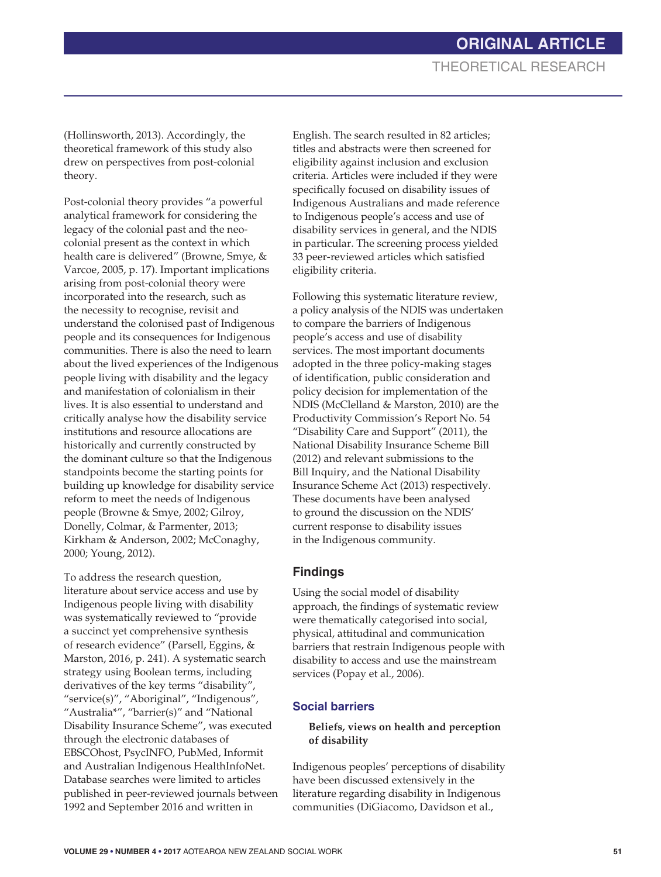(Hollinsworth, 2013). Accordingly, the theoretical framework of this study also drew on perspectives from post-colonial theory.

Post-colonial theory provides "a powerful analytical framework for considering the legacy of the colonial past and the neocolonial present as the context in which health care is delivered" (Browne, Smye, & Varcoe, 2005, p. 17). Important implications arising from post-colonial theory were incorporated into the research, such as the necessity to recognise, revisit and understand the colonised past of Indigenous people and its consequences for Indigenous communities. There is also the need to learn about the lived experiences of the Indigenous people living with disability and the legacy and manifestation of colonialism in their lives. It is also essential to understand and critically analyse how the disability service institutions and resource allocations are historically and currently constructed by the dominant culture so that the Indigenous standpoints become the starting points for building up knowledge for disability service reform to meet the needs of Indigenous people (Browne & Smye, 2002; Gilroy, Donelly, Colmar, & Parmenter, 2013; Kirkham & Anderson, 2002; McConaghy, 2000; Young, 2012).

To address the research question, literature about service access and use by Indigenous people living with disability was systematically reviewed to "provide a succinct yet comprehensive synthesis of research evidence" (Parsell, Eggins, & Marston, 2016, p. 241). A systematic search strategy using Boolean terms, including derivatives of the key terms "disability", "service(s)", "Aboriginal", "Indigenous", "Australia\*", "barrier(s)" and "National Disability Insurance Scheme", was executed through the electronic databases of EBSCOhost, PsycINFO, PubMed, Informit and Australian Indigenous HealthInfoNet. Database searches were limited to articles published in peer-reviewed journals between 1992 and September 2016 and written in

English. The search resulted in 82 articles; titles and abstracts were then screened for eligibility against inclusion and exclusion criteria. Articles were included if they were specifically focused on disability issues of Indigenous Australians and made reference to Indigenous people's access and use of disability services in general, and the NDIS in particular. The screening process yielded 33 peer-reviewed articles which satisfied eligibility criteria.

Following this systematic literature review, a policy analysis of the NDIS was undertaken to compare the barriers of Indigenous people's access and use of disability services. The most important documents adopted in the three policy-making stages of identification, public consideration and policy decision for implementation of the NDIS (McClelland & Marston, 2010) are the Productivity Commission's Report No. 54 "Disability Care and Support" (2011), the National Disability Insurance Scheme Bill (2012) and relevant submissions to the Bill Inquiry, and the National Disability Insurance Scheme Act (2013) respectively. These documents have been analysed to ground the discussion on the NDIS' current response to disability issues in the Indigenous community.

### **Findings**

Using the social model of disability approach, the findings of systematic review were thematically categorised into social, physical, attitudinal and communication barriers that restrain Indigenous people with disability to access and use the mainstream services (Popay et al., 2006).

### **Social barriers**

### **Beliefs, views on health and perception of disability**

Indigenous peoples' perceptions of disability have been discussed extensively in the literature regarding disability in Indigenous communities (DiGiacomo, Davidson et al.,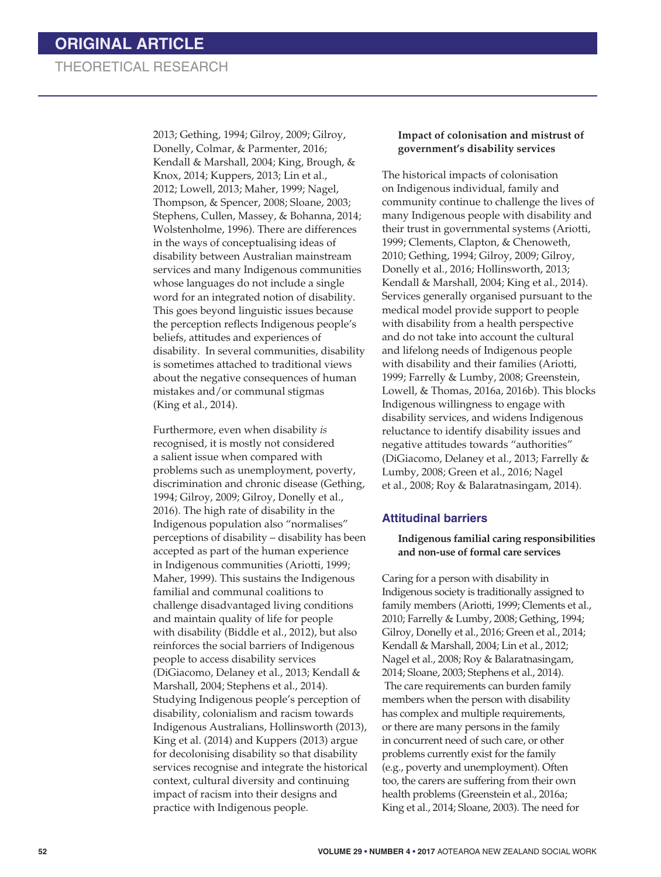2013; Gething, 1994; Gilroy, 2009; Gilroy, Donelly, Colmar, & Parmenter, 2016; Kendall & Marshall, 2004; King, Brough, & Knox, 2014; Kuppers, 2013; Lin et al., 2012; Lowell, 2013; Maher, 1999; Nagel, Thompson, & Spencer, 2008; Sloane, 2003; Stephens, Cullen, Massey, & Bohanna, 2014; Wolstenholme, 1996). There are differences in the ways of conceptualising ideas of disability between Australian mainstream services and many Indigenous communities whose languages do not include a single word for an integrated notion of disability. This goes beyond linguistic issues because the perception reflects Indigenous people's beliefs, attitudes and experiences of disability. In several communities, disability is sometimes attached to traditional views about the negative consequences of human mistakes and/or communal stigmas (King et al., 2014).

Furthermore, even when disability *is* recognised, it is mostly not considered a salient issue when compared with problems such as unemployment, poverty, discrimination and chronic disease (Gething, 1994; Gilroy, 2009; Gilroy, Donelly et al., 2016). The high rate of disability in the Indigenous population also "normalises" perceptions of disability – disability has been accepted as part of the human experience in Indigenous communities (Ariotti, 1999; Maher, 1999). This sustains the Indigenous familial and communal coalitions to challenge disadvantaged living conditions and maintain quality of life for people with disability (Biddle et al., 2012), but also reinforces the social barriers of Indigenous people to access disability services (DiGiacomo, Delaney et al., 2013; Kendall & Marshall, 2004; Stephens et al., 2014). Studying Indigenous people's perception of disability, colonialism and racism towards Indigenous Australians, Hollinsworth (2013), King et al. (2014) and Kuppers (2013) argue for decolonising disability so that disability services recognise and integrate the historical context, cultural diversity and continuing impact of racism into their designs and practice with Indigenous people.

#### **Impact of colonisation and mistrust of government's disability services**

The historical impacts of colonisation on Indigenous individual, family and community continue to challenge the lives of many Indigenous people with disability and their trust in governmental systems (Ariotti, 1999; Clements, Clapton, & Chenoweth, 2010; Gething, 1994; Gilroy, 2009; Gilroy, Donelly et al., 2016; Hollinsworth, 2013; Kendall & Marshall, 2004; King et al., 2014). Services generally organised pursuant to the medical model provide support to people with disability from a health perspective and do not take into account the cultural and lifelong needs of Indigenous people with disability and their families (Ariotti, 1999; Farrelly & Lumby, 2008; Greenstein, Lowell, & Thomas, 2016a, 2016b). This blocks Indigenous willingness to engage with disability services, and widens Indigenous reluctance to identify disability issues and negative attitudes towards "authorities" (DiGiacomo, Delaney et al., 2013; Farrelly & Lumby, 2008; Green et al., 2016; Nagel et al., 2008; Roy & Balaratnasingam, 2014).

#### **Attitudinal barriers**

**Indigenous familial caring responsibilities and non-use of formal care services**

Caring for a person with disability in Indigenous society is traditionally assigned to family members (Ariotti, 1999; Clements et al., 2010; Farrelly & Lumby, 2008; Gething, 1994; Gilroy, Donelly et al., 2016; Green et al., 2014; Kendall & Marshall, 2004; Lin et al., 2012; Nagel et al., 2008; Roy & Balaratnasingam, 2014; Sloane, 2003; Stephens et al., 2014). The care requirements can burden family members when the person with disability has complex and multiple requirements, or there are many persons in the family in concurrent need of such care, or other problems currently exist for the family (e.g., poverty and unemployment). Often too, the carers are suffering from their own health problems (Greenstein et al., 2016a; King et al., 2014; Sloane, 2003). The need for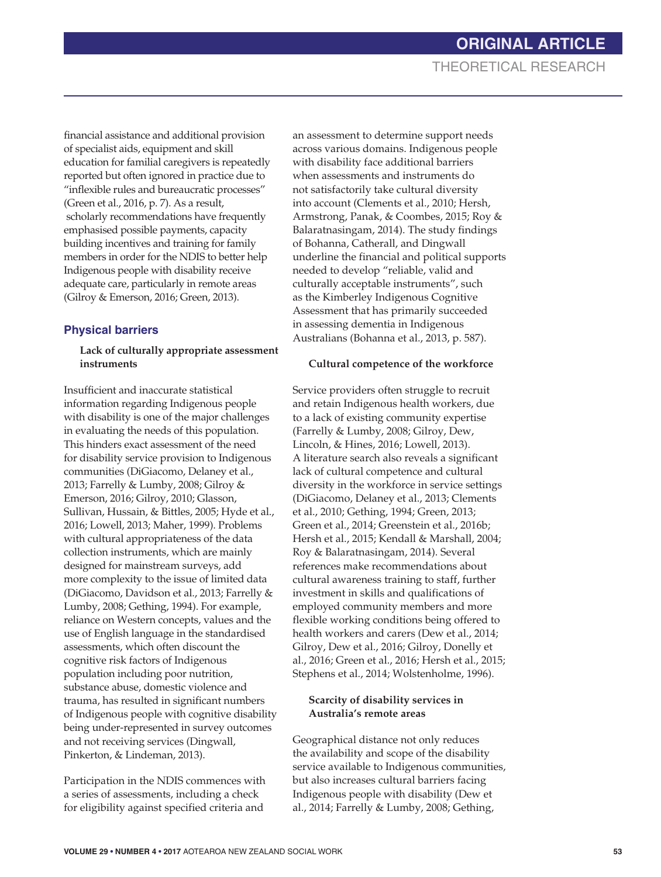financial assistance and additional provision of specialist aids, equipment and skill education for familial caregivers is repeatedly reported but often ignored in practice due to "inflexible rules and bureaucratic processes" (Green et al., 2016, p. 7). As a result, scholarly recommendations have frequently emphasised possible payments, capacity building incentives and training for family members in order for the NDIS to better help Indigenous people with disability receive adequate care, particularly in remote areas (Gilroy & Emerson, 2016; Green, 2013).

### **Physical barriers**

### **Lack of culturally appropriate assessment instruments**

Insufficient and inaccurate statistical information regarding Indigenous people with disability is one of the major challenges in evaluating the needs of this population. This hinders exact assessment of the need for disability service provision to Indigenous communities (DiGiacomo, Delaney et al., 2013; Farrelly & Lumby, 2008; Gilroy & Emerson, 2016; Gilroy, 2010; Glasson, Sullivan, Hussain, & Bittles, 2005; Hyde et al., 2016; Lowell, 2013; Maher, 1999). Problems with cultural appropriateness of the data collection instruments, which are mainly designed for mainstream surveys, add more complexity to the issue of limited data (DiGiacomo, Davidson et al., 2013; Farrelly & Lumby, 2008; Gething, 1994). For example, reliance on Western concepts, values and the use of English language in the standardised assessments, which often discount the cognitive risk factors of Indigenous population including poor nutrition, substance abuse, domestic violence and trauma, has resulted in significant numbers of Indigenous people with cognitive disability being under-represented in survey outcomes and not receiving services (Dingwall, Pinkerton, & Lindeman, 2013).

Participation in the NDIS commences with a series of assessments, including a check for eligibility against specified criteria and

an assessment to determine support needs across various domains. Indigenous people with disability face additional barriers when assessments and instruments do not satisfactorily take cultural diversity into account (Clements et al., 2010; Hersh, Armstrong, Panak, & Coombes, 2015; Roy & Balaratnasingam, 2014). The study findings of Bohanna, Catherall, and Dingwall underline the financial and political supports needed to develop "reliable, valid and culturally acceptable instruments", such as the Kimberley Indigenous Cognitive Assessment that has primarily succeeded in assessing dementia in Indigenous Australians (Bohanna et al., 2013, p. 587).

#### **Cultural competence of the workforce**

Service providers often struggle to recruit and retain Indigenous health workers, due to a lack of existing community expertise (Farrelly & Lumby, 2008; Gilroy, Dew, Lincoln, & Hines, 2016; Lowell, 2013). A literature search also reveals a significant lack of cultural competence and cultural diversity in the workforce in service settings (DiGiacomo, Delaney et al., 2013; Clements et al., 2010; Gething, 1994; Green, 2013; Green et al., 2014; Greenstein et al., 2016b; Hersh et al., 2015; Kendall & Marshall, 2004; Roy & Balaratnasingam, 2014). Several references make recommendations about cultural awareness training to staff, further investment in skills and qualifications of employed community members and more flexible working conditions being offered to health workers and carers (Dew et al., 2014; Gilroy, Dew et al., 2016; Gilroy, Donelly et al., 2016; Green et al., 2016; Hersh et al., 2015; Stephens et al., 2014; Wolstenholme, 1996).

### **Scarcity of disability services in Australia's remote areas**

Geographical distance not only reduces the availability and scope of the disability service available to Indigenous communities, but also increases cultural barriers facing Indigenous people with disability (Dew et al., 2014; Farrelly & Lumby, 2008; Gething,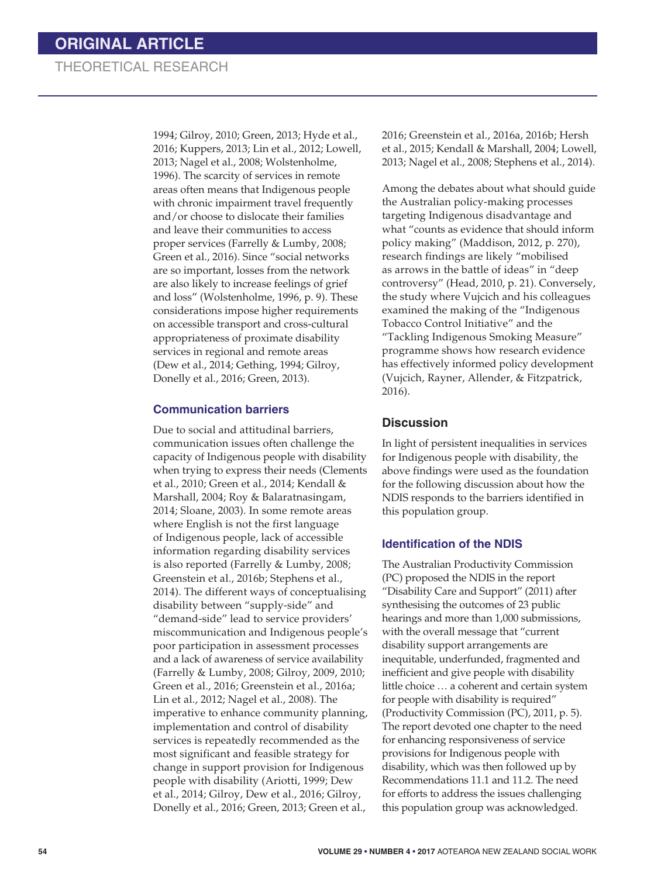1994; Gilroy, 2010; Green, 2013; Hyde et al., 2016; Kuppers, 2013; Lin et al., 2012; Lowell, 2013; Nagel et al., 2008; Wolstenholme, 1996). The scarcity of services in remote areas often means that Indigenous people with chronic impairment travel frequently and/or choose to dislocate their families and leave their communities to access proper services (Farrelly & Lumby, 2008; Green et al., 2016). Since "social networks are so important, losses from the network are also likely to increase feelings of grief and loss" (Wolstenholme, 1996, p. 9). These considerations impose higher requirements on accessible transport and cross-cultural appropriateness of proximate disability services in regional and remote areas (Dew et al., 2014; Gething, 1994; Gilroy, Donelly et al., 2016; Green, 2013).

### **Communication barriers**

Due to social and attitudinal barriers, communication issues often challenge the capacity of Indigenous people with disability when trying to express their needs (Clements et al., 2010; Green et al., 2014; Kendall & Marshall, 2004; Roy & Balaratnasingam, 2014; Sloane, 2003). In some remote areas where English is not the first language of Indigenous people, lack of accessible information regarding disability services is also reported (Farrelly & Lumby, 2008; Greenstein et al., 2016b; Stephens et al., 2014). The different ways of conceptualising disability between "supply-side" and "demand-side" lead to service providers' miscommunication and Indigenous people's poor participation in assessment processes and a lack of awareness of service availability (Farrelly & Lumby, 2008; Gilroy, 2009, 2010; Green et al., 2016; Greenstein et al., 2016a; Lin et al., 2012; Nagel et al., 2008). The imperative to enhance community planning, implementation and control of disability services is repeatedly recommended as the most significant and feasible strategy for change in support provision for Indigenous people with disability (Ariotti, 1999; Dew et al., 2014; Gilroy, Dew et al., 2016; Gilroy, Donelly et al., 2016; Green, 2013; Green et al.,

2016; Greenstein et al., 2016a, 2016b; Hersh et al., 2015; Kendall & Marshall, 2004; Lowell, 2013; Nagel et al., 2008; Stephens et al., 2014).

Among the debates about what should guide the Australian policy-making processes targeting Indigenous disadvantage and what "counts as evidence that should inform policy making" (Maddison, 2012, p. 270), research findings are likely "mobilised as arrows in the battle of ideas" in "deep controversy" (Head, 2010, p. 21). Conversely, the study where Vujcich and his colleagues examined the making of the "Indigenous Tobacco Control Initiative" and the "Tackling Indigenous Smoking Measure" programme shows how research evidence has effectively informed policy development (Vujcich, Rayner, Allender, & Fitzpatrick, 2016).

### **Discussion**

In light of persistent inequalities in services for Indigenous people with disability, the above findings were used as the foundation for the following discussion about how the NDIS responds to the barriers identified in this population group.

### **Identification of the NDIS**

The Australian Productivity Commission (PC) proposed the NDIS in the report "Disability Care and Support" (2011) after synthesising the outcomes of 23 public hearings and more than 1,000 submissions, with the overall message that "current disability support arrangements are inequitable, underfunded, fragmented and inefficient and give people with disability little choice … a coherent and certain system for people with disability is required" (Productivity Commission (PC), 2011, p. 5). The report devoted one chapter to the need for enhancing responsiveness of service provisions for Indigenous people with disability, which was then followed up by Recommendations 11.1 and 11.2. The need for efforts to address the issues challenging this population group was acknowledged.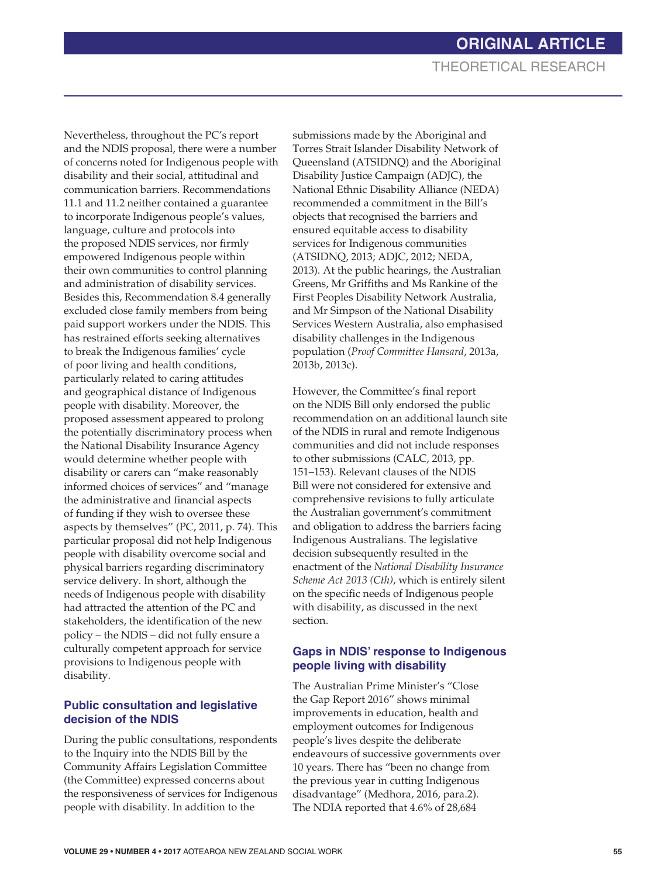Nevertheless, throughout the PC's report and the NDIS proposal, there were a number of concerns noted for Indigenous people with disability and their social, attitudinal and communication barriers. Recommendations 11.1 and 11.2 neither contained a guarantee to incorporate Indigenous people's values, language, culture and protocols into the proposed NDIS services, nor firmly empowered Indigenous people within their own communities to control planning and administration of disability services. Besides this, Recommendation 8.4 generally excluded close family members from being paid support workers under the NDIS. This has restrained efforts seeking alternatives to break the Indigenous families' cycle of poor living and health conditions, particularly related to caring attitudes and geographical distance of Indigenous people with disability. Moreover, the proposed assessment appeared to prolong the potentially discriminatory process when the National Disability Insurance Agency would determine whether people with disability or carers can "make reasonably informed choices of services" and "manage the administrative and financial aspects of funding if they wish to oversee these aspects by themselves" (PC, 2011, p. 74). This particular proposal did not help Indigenous people with disability overcome social and physical barriers regarding discriminatory service delivery. In short, although the needs of Indigenous people with disability had attracted the attention of the PC and stakeholders, the identification of the new policy – the NDIS – did not fully ensure a culturally competent approach for service provisions to Indigenous people with disability.

### **Public consultation and legislative decision of the NDIS**

During the public consultations, respondents to the Inquiry into the NDIS Bill by the Community Affairs Legislation Committee (the Committee) expressed concerns about the responsiveness of services for Indigenous people with disability. In addition to the

submissions made by the Aboriginal and Torres Strait Islander Disability Network of Queensland (ATSIDNQ) and the Aboriginal Disability Justice Campaign (ADJC), the National Ethnic Disability Alliance (NEDA) recommended a commitment in the Bill's objects that recognised the barriers and ensured equitable access to disability services for Indigenous communities (ATSIDNQ, 2013; ADJC, 2012; NEDA, 2013). At the public hearings, the Australian Greens, Mr Griffiths and Ms Rankine of the First Peoples Disability Network Australia, and Mr Simpson of the National Disability Services Western Australia, also emphasised disability challenges in the Indigenous population (*Proof Committee Hansard*, 2013a, 2013b, 2013c).

However, the Committee's final report on the NDIS Bill only endorsed the public recommendation on an additional launch site of the NDIS in rural and remote Indigenous communities and did not include responses to other submissions (CALC, 2013, pp. 151–153). Relevant clauses of the NDIS Bill were not considered for extensive and comprehensive revisions to fully articulate the Australian government's commitment and obligation to address the barriers facing Indigenous Australians. The legislative decision subsequently resulted in the enactment of the *National Disability Insurance Scheme Act 2013 (Cth)*, which is entirely silent on the specific needs of Indigenous people with disability, as discussed in the next section.

### **Gaps in NDIS' response to Indigenous people living with disability**

The Australian Prime Minister's "Close the Gap Report 2016" shows minimal improvements in education, health and employment outcomes for Indigenous people's lives despite the deliberate endeavours of successive governments over 10 years. There has "been no change from the previous year in cutting Indigenous disadvantage" (Medhora, 2016, para.2). The NDIA reported that 4.6% of 28,684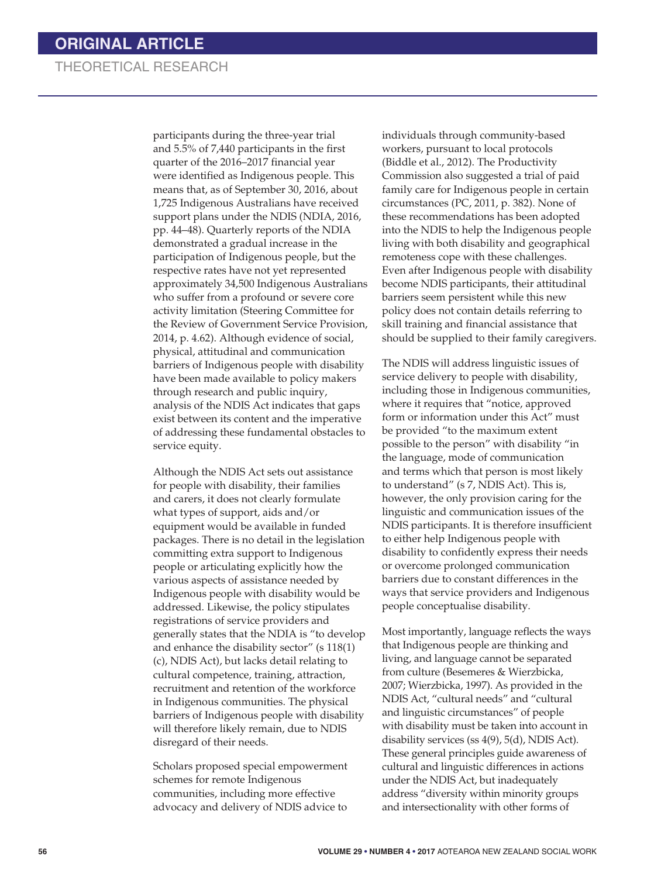participants during the three-year trial and 5.5% of 7,440 participants in the first quarter of the 2016–2017 financial year were identified as Indigenous people. This means that, as of September 30, 2016, about 1,725 Indigenous Australians have received support plans under the NDIS (NDIA, 2016, pp. 44–48). Quarterly reports of the NDIA demonstrated a gradual increase in the participation of Indigenous people, but the respective rates have not yet represented approximately 34,500 Indigenous Australians who suffer from a profound or severe core activity limitation (Steering Committee for the Review of Government Service Provision, 2014, p. 4.62). Although evidence of social, physical, attitudinal and communication barriers of Indigenous people with disability have been made available to policy makers through research and public inquiry, analysis of the NDIS Act indicates that gaps exist between its content and the imperative of addressing these fundamental obstacles to service equity.

Although the NDIS Act sets out assistance for people with disability, their families and carers, it does not clearly formulate what types of support, aids and/or equipment would be available in funded packages. There is no detail in the legislation committing extra support to Indigenous people or articulating explicitly how the various aspects of assistance needed by Indigenous people with disability would be addressed. Likewise, the policy stipulates registrations of service providers and generally states that the NDIA is "to develop and enhance the disability sector" (s 118(1) (c), NDIS Act), but lacks detail relating to cultural competence, training, attraction, recruitment and retention of the workforce in Indigenous communities. The physical barriers of Indigenous people with disability will therefore likely remain, due to NDIS disregard of their needs.

Scholars proposed special empowerment schemes for remote Indigenous communities, including more effective advocacy and delivery of NDIS advice to

individuals through community-based workers, pursuant to local protocols (Biddle et al., 2012). The Productivity Commission also suggested a trial of paid family care for Indigenous people in certain circumstances (PC, 2011, p. 382). None of these recommendations has been adopted into the NDIS to help the Indigenous people living with both disability and geographical remoteness cope with these challenges. Even after Indigenous people with disability become NDIS participants, their attitudinal barriers seem persistent while this new policy does not contain details referring to skill training and financial assistance that should be supplied to their family caregivers.

The NDIS will address linguistic issues of service delivery to people with disability, including those in Indigenous communities, where it requires that "notice, approved form or information under this Act" must be provided "to the maximum extent possible to the person" with disability "in the language, mode of communication and terms which that person is most likely to understand" (s 7, NDIS Act). This is, however, the only provision caring for the linguistic and communication issues of the NDIS participants. It is therefore insufficient to either help Indigenous people with disability to confidently express their needs or overcome prolonged communication barriers due to constant differences in the ways that service providers and Indigenous people conceptualise disability.

Most importantly, language reflects the ways that Indigenous people are thinking and living, and language cannot be separated from culture (Besemeres & Wierzbicka, 2007; Wierzbicka, 1997). As provided in the NDIS Act, "cultural needs" and "cultural and linguistic circumstances" of people with disability must be taken into account in disability services (ss 4(9), 5(d), NDIS Act). These general principles guide awareness of cultural and linguistic differences in actions under the NDIS Act, but inadequately address "diversity within minority groups and intersectionality with other forms of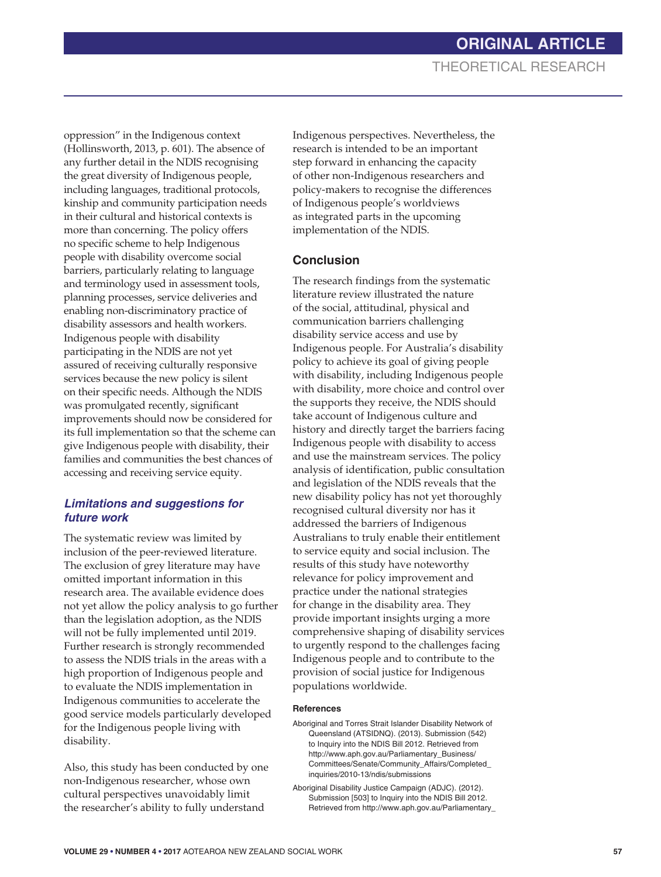oppression" in the Indigenous context (Hollinsworth, 2013, p. 601). The absence of any further detail in the NDIS recognising the great diversity of Indigenous people, including languages, traditional protocols, kinship and community participation needs in their cultural and historical contexts is more than concerning. The policy offers no specific scheme to help Indigenous people with disability overcome social barriers, particularly relating to language and terminology used in assessment tools, planning processes, service deliveries and enabling non-discriminatory practice of disability assessors and health workers. Indigenous people with disability participating in the NDIS are not yet assured of receiving culturally responsive services because the new policy is silent on their specific needs. Although the NDIS was promulgated recently, significant improvements should now be considered for its full implementation so that the scheme can give Indigenous people with disability, their families and communities the best chances of accessing and receiving service equity.

### *Limitations and suggestions for future work*

The systematic review was limited by inclusion of the peer-reviewed literature. The exclusion of grey literature may have omitted important information in this research area. The available evidence does not yet allow the policy analysis to go further than the legislation adoption, as the NDIS will not be fully implemented until 2019. Further research is strongly recommended to assess the NDIS trials in the areas with a high proportion of Indigenous people and to evaluate the NDIS implementation in Indigenous communities to accelerate the good service models particularly developed for the Indigenous people living with disability.

Also, this study has been conducted by one non-Indigenous researcher, whose own cultural perspectives unavoidably limit the researcher's ability to fully understand

Indigenous perspectives. Nevertheless, the research is intended to be an important step forward in enhancing the capacity of other non-Indigenous researchers and policy-makers to recognise the differences of Indigenous people's worldviews as integrated parts in the upcoming implementation of the NDIS.

### **Conclusion**

The research findings from the systematic literature review illustrated the nature of the social, attitudinal, physical and communication barriers challenging disability service access and use by Indigenous people. For Australia's disability policy to achieve its goal of giving people with disability, including Indigenous people with disability, more choice and control over the supports they receive, the NDIS should take account of Indigenous culture and history and directly target the barriers facing Indigenous people with disability to access and use the mainstream services. The policy analysis of identification, public consultation and legislation of the NDIS reveals that the new disability policy has not yet thoroughly recognised cultural diversity nor has it addressed the barriers of Indigenous Australians to truly enable their entitlement to service equity and social inclusion. The results of this study have noteworthy relevance for policy improvement and practice under the national strategies for change in the disability area. They provide important insights urging a more comprehensive shaping of disability services to urgently respond to the challenges facing Indigenous people and to contribute to the provision of social justice for Indigenous populations worldwide.

#### **References**

- Aboriginal and Torres Strait Islander Disability Network of Queensland (ATSIDNQ). (2013). Submission (542) to Inquiry into the NDIS Bill 2012. Retrieved from http://www.aph.gov.au/Parliamentary\_Business/ Committees/Senate/Community\_Affairs/Completed\_ inquiries/2010-13/ndis/submissions
- Aboriginal Disability Justice Campaign (ADJC). (2012). Submission [503] to Inquiry into the NDIS Bill 2012*.*  Retrieved from http://www.aph.gov.au/Parliamentary\_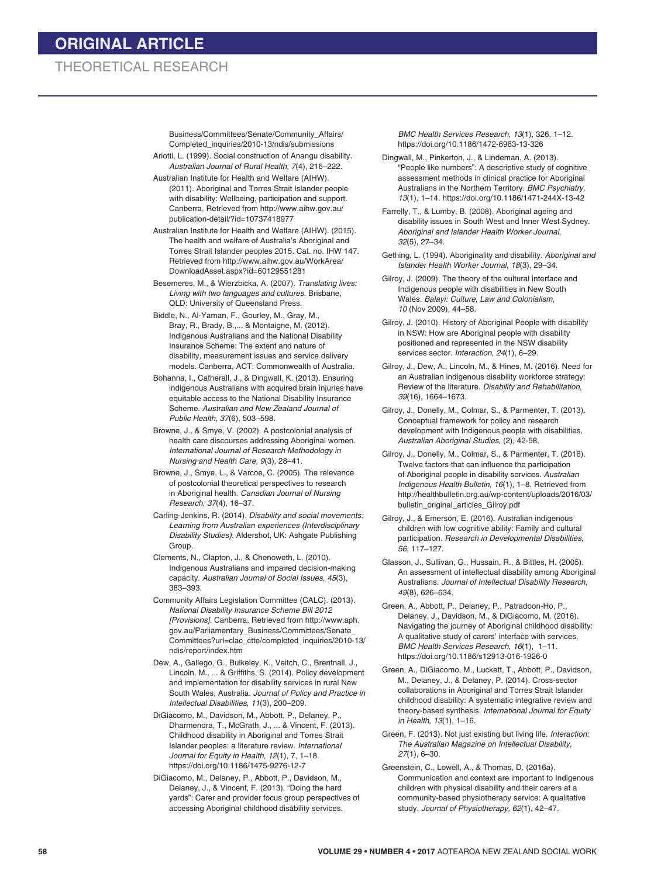Business/Committees/Senate/Community\_Affairs/ Completed\_inquiries/2010-13/ndis/submissions

Ariotti, L. (1999). Social construction of Anangu disability. *Australian Journal of Rural Health*, *7*(4), 216–222.

Australian Institute for Health and Welfare (AIHW). (2011). Aboriginal and Torres Strait Islander people with disability: Wellbeing, participation and support*.* Canberra. Retrieved from http://www.aihw.gov.au/ publication-detail/?id=10737418977

Australian Institute for Health and Welfare (AIHW). (2015). The health and welfare of Australia's Aboriginal and Torres Strait Islander peoples 2015*.* Cat. no. IHW 147. Retrieved from http://www.aihw.gov.au/WorkArea/ DownloadAsset.aspx?id=60129551281

Besemeres, M., & Wierzbicka, A. (2007). *Translating lives: Living with two languages and cultures*. Brisbane, QLD: University of Queensland Press.

- Biddle, N., Al-Yaman, F., Gourley, M., Gray, M., Bray, R., Brady, B.,... & Montaigne, M. (2012). Indigenous Australians and the National Disability Insurance Scheme: The extent and nature of disability, measurement issues and service delivery models. Canberra, ACT: Commonwealth of Australia.
- Bohanna, I., Catherall, J., & Dingwall, K. (2013). Ensuring indigenous Australians with acquired brain injuries have equitable access to the National Disability Insurance Scheme. *Australian and New Zealand Journal of Public Health*, *37*(6), 503–598.
- Browne, J., & Smye, V. (2002). A postcolonial analysis of health care discourses addressing Aboriginal women. *International Journal of Research Methodology in Nursing and Health Care, 9*(3), 28–41.
- Browne, J., Smye, L., & Varcoe, C. (2005). The relevance of postcolonial theoretical perspectives to research in Aboriginal health. *Canadian Journal of Nursing Research*, *37*(4), 16–37.
- Carling-Jenkins, R. (2014). *Disability and social movements: Learning from Australian experiences (Interdisciplinary Disability Studies).* Aldershot, UK: Ashgate Publishing Group.
- Clements, N., Clapton, J., & Chenoweth, L. (2010). Indigenous Australians and impaired decision-making capacity. *Australian Journal of Social Issues*, *45*(3), 383–393.
- Community Affairs Legislation Committee (CALC). (2013). *National Disability Insurance Scheme Bill 2012 [Provisions]*. Canberra. Retrieved from http://www.aph. gov.au/Parliamentary\_Business/Committees/Senate\_ Committees?url=clac\_ctte/completed\_inquiries/2010-13/ ndis/report/index.htm
- Dew, A., Gallego, G., Bulkeley, K., Veitch, C., Brentnall, J., Lincoln, M., ... & Griffiths, S. (2014). Policy development and implementation for disability services in rural New South Wales, Australia. *Journal of Policy and Practice in Intellectual Disabilities*, *11*(3), 200–209.
- DiGiacomo, M., Davidson, M., Abbott, P., Delaney, P., Dharmendra, T., McGrath, J., ... & Vincent, F. (2013). Childhood disability in Aboriginal and Torres Strait Islander peoples: a literature review. *International Journal for Equity in Health*, *12*(1), 7, 1–18. https://doi.org/10.1186/1475-9276-12-7
- DiGiacomo, M., Delaney, P., Abbott, P., Davidson, M., Delaney, J., & Vincent, F. (2013). "Doing the hard yards": Carer and provider focus group perspectives of accessing Aboriginal childhood disability services.

*BMC Health Services Research*, *13*(1), 326, 1–12. https://doi.org/10.1186/1472-6963-13-326

Dingwall, M., Pinkerton, J., & Lindeman, A. (2013). "People like numbers": A descriptive study of cognitive assessment methods in clinical practice for Aboriginal Australians in the Northern Territory. *BMC Psychiatry, 13*(1), 1–14. https://doi.org/10.1186/1471-244X-13-42

- Farrelly, T., & Lumby, B. (2008). Aboriginal ageing and disability issues in South West and Inner West Sydney. *Aboriginal and Islander Health Worker Journal*, *32*(5), 27–34.
- Gething, L. (1994). Aboriginality and disability. *Aboriginal and Islander Health Worker Journal*, *18*(3), 29–34.

Gilroy, J. (2009). The theory of the cultural interface and Indigenous people with disabilities in New South Wales. *Balayi: Culture, Law and Colonialism*, *10* (Nov 2009), 44–58.

Gilroy, J. (2010). History of Aboriginal People with disability in NSW: How are Aboriginal people with disability positioned and represented in the NSW disability services sector. *Interaction*, *24*(1), 6–29.

Gilroy, J., Dew, A., Lincoln, M., & Hines, M. (2016). Need for an Australian indigenous disability workforce strategy: Review of the literature. *Disability and Rehabilitation*, *39*(16), 1664–1673.

Gilroy, J., Donelly, M., Colmar, S., & Parmenter, T. (2013). Conceptual framework for policy and research development with Indigenous people with disabilities. *Australian Aboriginal Studies*, (2), 42-58.

Gilroy, J., Donelly, M., Colmar, S., & Parmenter, T. (2016). Twelve factors that can influence the participation of Aboriginal people in disability services. *Australian Indigenous Health Bulletin*, *16*(1), 1–8. Retrieved from http://healthbulletin.org.au/wp-content/uploads/2016/03/ bulletin\_original\_articles\_Gilroy.pdf

Gilroy, J., & Emerson, E. (2016). Australian indigenous children with low cognitive ability: Family and cultural participation. *Research in Developmental Disabilities*, *56*, 117–127.

Glasson, J., Sullivan, G., Hussain, R., & Bittles, H. (2005). An assessment of intellectual disability among Aboriginal Australians. *Journal of Intellectual Disability Research*, *49*(8), 626–634.

Green, A., Abbott, P., Delaney, P., Patradoon-Ho, P., Delaney, J., Davidson, M., & DiGiacomo, M. (2016). Navigating the journey of Aboriginal childhood disability: A qualitative study of carers' interface with services. *BMC Health Services Research*, *16*(1), 1–11. https://doi.org/10.1186/s12913-016-1926-0

Green, A., DiGiacomo, M., Luckett, T., Abbott, P., Davidson, M., Delaney, J., & Delaney, P. (2014). Cross-sector collaborations in Aboriginal and Torres Strait Islander childhood disability: A systematic integrative review and theory-based synthesis. *International Journal for Equity in Health*, *13*(1), 1–16.

Green, F. (2013). Not just existing but living life. *Interaction: The Australian Magazine on Intellectual Disability, 27*(1), 6–30.

Greenstein, C., Lowell, A., & Thomas, D. (2016a). Communication and context are important to Indigenous children with physical disability and their carers at a community-based physiotherapy service: A qualitative study. *Journal of Physiotherapy*, *62*(1), 42–47.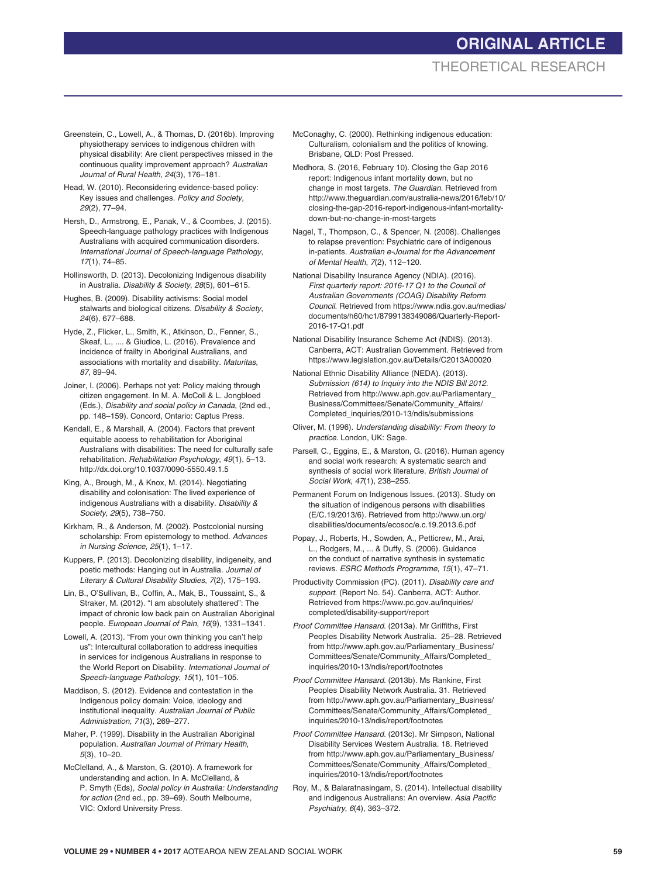# **ORIGINAL ARTICLE** THEORETICAL RESEARCH

- Greenstein, C., Lowell, A., & Thomas, D. (2016b). Improving physiotherapy services to indigenous children with physical disability: Are client perspectives missed in the continuous quality improvement approach? *Australian Journal of Rural Health*, *24*(3), 176–181.
- Head, W. (2010). Reconsidering evidence-based policy: Key issues and challenges. *Policy and Society, 29*(2), 77–94.
- Hersh, D., Armstrong, E., Panak, V., & Coombes, J. (2015). Speech-language pathology practices with Indigenous Australians with acquired communication disorders. *International Journal of Speech-language Pathology*, *17*(1), 74–85.
- Hollinsworth, D. (2013). Decolonizing Indigenous disability in Australia. *Disability & Society*, *28*(5), 601–615.
- Hughes, B. (2009). Disability activisms: Social model stalwarts and biological citizens. *Disability & Society*, *24*(6), 677–688.
- Hyde, Z., Flicker, L., Smith, K., Atkinson, D., Fenner, S., Skeaf, L., .... & Giudice, L. (2016). Prevalence and incidence of frailty in Aboriginal Australians, and associations with mortality and disability. *Maturitas*, *87*, 89–94.
- Joiner, I. (2006). Perhaps not yet: Policy making through citizen engagement. In M. A. McColl & L. Jongbloed (Eds.), *Disability and social policy in Canada*, (2nd ed., pp. 148–159). Concord, Ontario: Captus Press.
- Kendall, E., & Marshall, A. (2004). Factors that prevent equitable access to rehabilitation for Aboriginal Australians with disabilities: The need for culturally safe rehabilitation. *Rehabilitation Psychology*, *49*(1), 5–13. http://dx.doi.org/10.1037/0090-5550.49.1.5
- King, A., Brough, M., & Knox, M. (2014). Negotiating disability and colonisation: The lived experience of indigenous Australians with a disability. *Disability & Society*, *29*(5), 738–750.
- Kirkham, R., & Anderson, M. (2002). Postcolonial nursing scholarship: From epistemology to method. *Advances in Nursing Science*, *25*(1), 1–17.
- Kuppers, P. (2013). Decolonizing disability, indigeneity, and poetic methods: Hanging out in Australia. *Journal of Literary & Cultural Disability Studies*, *7*(2), 175–193.
- Lin, B., O'Sullivan, B., Coffin, A., Mak, B., Toussaint, S., & Straker, M. (2012). "I am absolutely shattered": The impact of chronic low back pain on Australian Aboriginal people. *European Journal of Pain*, *16*(9), 1331–1341.
- Lowell, A. (2013). "From your own thinking you can't help us": Intercultural collaboration to address inequities in services for indigenous Australians in response to the World Report on Disability. *International Journal of Speech-language Pathology*, *15*(1), 101–105.
- Maddison, S. (2012). Evidence and contestation in the Indigenous policy domain: Voice, ideology and institutional inequality. *Australian Journal of Public Administration, 71*(3), 269–277.
- Maher, P. (1999). Disability in the Australian Aboriginal population. *Australian Journal of Primary Health*, *5*(3), 10–20.
- McClelland, A., & Marston, G. (2010). A framework for understanding and action. In A. McClelland, & P. Smyth (Eds), *Social policy in Australia: Understanding for action* (2nd ed., pp. 39–69). South Melbourne, VIC: Oxford University Press.
- McConaghy, C. (2000). Rethinking indigenous education: Culturalism, colonialism and the politics of knowing. Brisbane, QLD: Post Pressed.
- Medhora, S. (2016, February 10). Closing the Gap 2016 report: Indigenous infant mortality down, but no change in most targets. *The Guardian.* Retrieved from http://www.theguardian.com/australia-news/2016/feb/10/ closing-the-gap-2016-report-indigenous-infant-mortalitydown-but-no-change-in-most-targets
- Nagel, T., Thompson, C., & Spencer, N. (2008). Challenges to relapse prevention: Psychiatric care of indigenous in-patients. *Australian e-Journal for the Advancement of Mental Health*, *7*(2), 112–120.
- National Disability Insurance Agency (NDIA). (2016). *First quarterly report: 2016-17 Q1 to the Council of Australian Governments (COAG) Disability Reform Council*. Retrieved from https://www.ndis.gov.au/medias/ documents/h60/hc1/8799138349086/Quarterly-Report-2016-17-Q1.pdf
- National Disability Insurance Scheme Act (NDIS). (2013). Canberra, ACT: Australian Government. Retrieved from https://www.legislation.gov.au/Details/C2013A00020
- National Ethnic Disability Alliance (NEDA). (2013). *Submission (614) to Inquiry into the NDIS Bill 2012.*  Retrieved from http://www.aph.gov.au/Parliamentary\_ Business/Committees/Senate/Community\_Affairs/ Completed\_inquiries/2010-13/ndis/submissions
- Oliver, M. (1996). *Understanding disability: From theory to practice*. London, UK: Sage.
- Parsell, C., Eggins, E., & Marston, G. (2016). Human agency and social work research: A systematic search and synthesis of social work literature. *British Journal of Social Work, 47*(1), 238–255.
- Permanent Forum on Indigenous Issues. (2013). Study on the situation of indigenous persons with disabilities (E/C.19/2013/6). Retrieved from http://www.un.org/ disabilities/documents/ecosoc/e.c.19.2013.6.pdf
- Popay, J., Roberts, H., Sowden, A., Petticrew, M., Arai, L., Rodgers, M., ... & Duffy, S. (2006). Guidance on the conduct of narrative synthesis in systematic reviews. *ESRC Methods Programme*, *15*(1), 47–71.
- Productivity Commission (PC). (2011). *Disability care and support*. (Report No. 54)*.* Canberra, ACT: Author. Retrieved from https://www.pc.gov.au/inquiries/ completed/disability-support/report
- *Proof Committee Hansard*. (2013a). Mr Griffiths, First Peoples Disability Network Australia. 25–28. Retrieved from http://www.aph.gov.au/Parliamentary\_Business/ Committees/Senate/Community\_Affairs/Completed\_ inquiries/2010-13/ndis/report/footnotes
- *Proof Committee Hansard*. (2013b). Ms Rankine, First Peoples Disability Network Australia. 31. Retrieved from http://www.aph.gov.au/Parliamentary\_Business/ Committees/Senate/Community\_Affairs/Completed\_ inquiries/2010-13/ndis/report/footnotes
- *Proof Committee Hansard.* (2013c). Mr Simpson, National Disability Services Western Australia. 18. Retrieved from http://www.aph.gov.au/Parliamentary\_Business/ Committees/Senate/Community\_Affairs/Completed\_ inquiries/2010-13/ndis/report/footnotes
- Roy, M., & Balaratnasingam, S. (2014). Intellectual disability and indigenous Australians: An overview. *Asia Pacific Psychiatry*, *6*(4), 363–372.